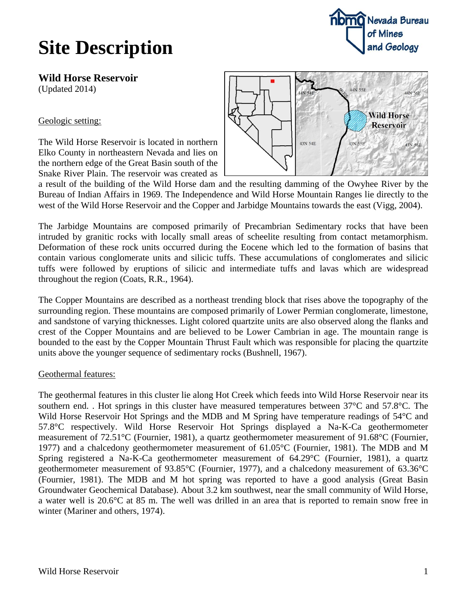## **Site Description**

**nomo** Nevada Bureau of Mines and Geology

**Wild Horse Reservoir** (Updated 2014)

Geologic setting:

The Wild Horse Reservoir is located in northern Elko County in northeastern Nevada and lies on the northern edge of the Great Basin south of the Snake River Plain. The reservoir was created as



a result of the building of the Wild Horse dam and the resulting damming of the Owyhee River by the Bureau of Indian Affairs in 1969. The Independence and Wild Horse Mountain Ranges lie directly to the west of the Wild Horse Reservoir and the Copper and Jarbidge Mountains towards the east (Vigg, 2004).

The Jarbidge Mountains are composed primarily of Precambrian Sedimentary rocks that have been intruded by granitic rocks with locally small areas of scheelite resulting from contact metamorphism. Deformation of these rock units occurred during the Eocene which led to the formation of basins that contain various conglomerate units and silicic tuffs. These accumulations of conglomerates and silicic tuffs were followed by eruptions of silicic and intermediate tuffs and lavas which are widespread throughout the region (Coats, R.R., 1964).

The Copper Mountains are described as a northeast trending block that rises above the topography of the surrounding region. These mountains are composed primarily of Lower Permian conglomerate, limestone, and sandstone of varying thicknesses. Light colored quartzite units are also observed along the flanks and crest of the Copper Mountains and are believed to be Lower Cambrian in age. The mountain range is bounded to the east by the Copper Mountain Thrust Fault which was responsible for placing the quartzite units above the younger sequence of sedimentary rocks (Bushnell, 1967).

## Geothermal features:

The geothermal features in this cluster lie along Hot Creek which feeds into Wild Horse Reservoir near its southern end. . Hot springs in this cluster have measured temperatures between 37°C and 57.8°C. The Wild Horse Reservoir Hot Springs and the MDB and M Spring have temperature readings of 54 °C and 57.8°C respectively. Wild Horse Reservoir Hot Springs displayed a Na-K-Ca geothermometer measurement of 72.51°C (Fournier, 1981), a quartz geothermometer measurement of 91.68°C (Fournier, 1977) and a chalcedony geothermometer measurement of 61.05°C (Fournier, 1981). The MDB and M Spring registered a Na-K-Ca geothermometer measurement of 64.29°C (Fournier, 1981), a quartz geothermometer measurement of 93.85°C (Fournier, 1977), and a chalcedony measurement of 63.36°C (Fournier, 1981). The MDB and M hot spring was reported to have a good analysis (Great Basin Groundwater Geochemical Database). About 3.2 km southwest, near the small community of Wild Horse, a water well is 20.6°C at 85 m. The well was drilled in an area that is reported to remain snow free in winter (Mariner and others, 1974).